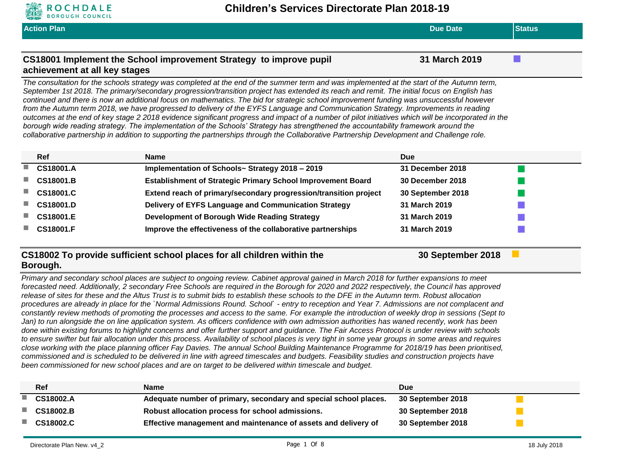

**Action Plan Due Date Status CS18001 Implement the School improvement Strategy to improve pupil achievement at all key stages 31 March 2019** *The consultation for the schools strategy was completed at the end of the summer term and was implemented at the start of the Autumn term, September 1st 2018. The primary/secondary progression/transition project has extended its reach and remit. The initial focus on English has continued and there is now an additional focus on mathematics. The bid for strategic school improvement funding was unsuccessful however from the Autumn term 2018, we have progressed to delivery of the EYFS Language and Communication Strategy. Improvements in reading outcomes at the end of key stage 2 2018 evidence significant progress and impact of a number of pilot initiatives which will be incorporated in the*  borough wide reading strategy. The implementation of the Schools' Strategy has strengthened the accountability framework around the *collaborative partnership in addition to supporting the partnerships through the Collaborative Partnership Development and Challenge role.* **Ref Name Due CS18001.A Implementation of Schools~ Strategy 2018 – 2019 31 December 2018 CS18001.B Establishment of Strategic Primary School Improvement Board 30 December 2018 CS18001.C Extend reach of primary/secondary progression/transition project 30 September 2018 CS18001.D Delivery of EYFS Language and Communication Strategy 31 March 2019 CS18001.E Development of Borough Wide Reading Strategy 31 March 2019 CS18001.F Improve the effectiveness of the collaborative partnerships 31 March 2019 CS18002 To provide sufficient school places for all children within the 30 September 2018**

### **Borough.**

*Primary and secondary school places are subject to ongoing review. Cabinet approval gained in March 2018 for further expansions to meet forecasted need. Additionally, 2 secondary Free Schools are required in the Borough for 2020 and 2022 respectively, the Council has approved release of sites for these and the Altus Trust is to submit bids to establish these schools to the DFE in the Autumn term. Robust allocation procedures are already in place for the `Normal Admissions Round. School` - entry to reception and Year 7. Admissions are not complacent and constantly review methods of promoting the processes and access to the same. For example the introduction of weekly drop in sessions (Sept to*  Jan) to run alongside the on line application system. As officers confidence with own admission authorities has waned recently, work has been *done within existing forums to highlight concerns and offer further support and guidance. The Fair Access Protocol is under review with schools to ensure swifter but fair allocation under this process. Availability of school places is very tight in some year groups in some areas and requires close working with the place planning officer Fay Davies. The annual School Building Maintenance Programme for 2018/19 has been prioritised, commissioned and is scheduled to be delivered in line with agreed timescales and budgets. Feasibility studies and construction projects have been commissioned for new school places and are on target to be delivered within timescale and budget.*

| Ref              | <b>Name</b>                                                      | <b>Due</b>        |
|------------------|------------------------------------------------------------------|-------------------|
| <b>CS18002.A</b> | Adequate number of primary, secondary and special school places. | 30 September 2018 |
| <b>CS18002.B</b> | Robust allocation process for school admissions.                 | 30 September 2018 |
| <b>CS18002.C</b> | Effective management and maintenance of assets and delivery of   | 30 September 2018 |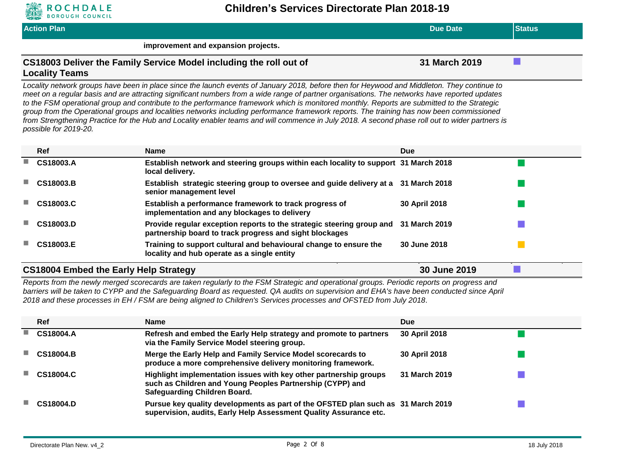

| <b>Action Plan</b>                                                                          | <b>Due Date</b> | <b>Status</b> |
|---------------------------------------------------------------------------------------------|-----------------|---------------|
| improvement and expansion projects.                                                         |                 |               |
| CS18003 Deliver the Family Service Model including the roll out of<br><b>Locality Teams</b> | 31 March 2019   |               |

*Locality network groups have been in place since the launch events of January 2018, before then for Heywood and Middleton. They continue to meet on a regular basis and are attracting significant numbers from a wide range of partner organisations. The networks have reported updates to the FSM operational group and contribute to the performance framework which is monitored monthly. Reports are submitted to the Strategic group from the Operational groups and localities networks including performance framework reports. The training has now been commissioned from Strengthening Practice for the Hub and Locality enabler teams and will commence in July 2018. A second phase roll out to wider partners is possible for 2019-20.*

| Ref                                          | <b>Name</b>                                                                                                                      | <b>Due</b>    |  |
|----------------------------------------------|----------------------------------------------------------------------------------------------------------------------------------|---------------|--|
| <b>CS18003.A</b>                             | Establish network and steering groups within each locality to support 31 March 2018<br>local delivery.                           |               |  |
| <b>CS18003.B</b>                             | Establish strategic steering group to oversee and guide delivery at a 31 March 2018<br>senior management level                   |               |  |
| CS18003.C                                    | Establish a performance framework to track progress of<br>implementation and any blockages to delivery                           | 30 April 2018 |  |
| CS18003.D                                    | Provide regular exception reports to the strategic steering group and<br>partnership board to track progress and sight blockages | 31 March 2019 |  |
| <b>CS18003.E</b>                             | Training to support cultural and behavioural change to ensure the<br>locality and hub operate as a single entity                 | 30 June 2018  |  |
| <b>CS18004 Embed the Early Help Strategy</b> |                                                                                                                                  | 30 June 2019  |  |

*Reports from the newly merged scorecards are taken regularly to the FSM Strategic and operational groups. Periodic reports on progress and barriers will be taken to CYPP and the Safeguarding Board as requested. QA audits on supervision and EHA's have been conducted since April 2018 and these processes in EH / FSM are being aligned to Children's Services processes and OFSTED from July 2018.*

|   | Ref              | <b>Name</b>                                                                                                                                                           | <b>Due</b>           |  |
|---|------------------|-----------------------------------------------------------------------------------------------------------------------------------------------------------------------|----------------------|--|
| ш | CS18004.A        | Refresh and embed the Early Help strategy and promote to partners<br>via the Family Service Model steering group.                                                     | 30 April 2018        |  |
|   | <b>CS18004.B</b> | Merge the Early Help and Family Service Model scorecards to<br>produce a more comprehensive delivery monitoring framework.                                            | <b>30 April 2018</b> |  |
|   | CS18004.C        | Highlight implementation issues with key other partnership groups<br>such as Children and Young Peoples Partnership (CYPP) and<br><b>Safeguarding Children Board.</b> | 31 March 2019        |  |
|   | <b>CS18004.D</b> | Pursue key quality developments as part of the OFSTED plan such as 31 March 2019<br>supervision, audits, Early Help Assessment Quality Assurance etc.                 |                      |  |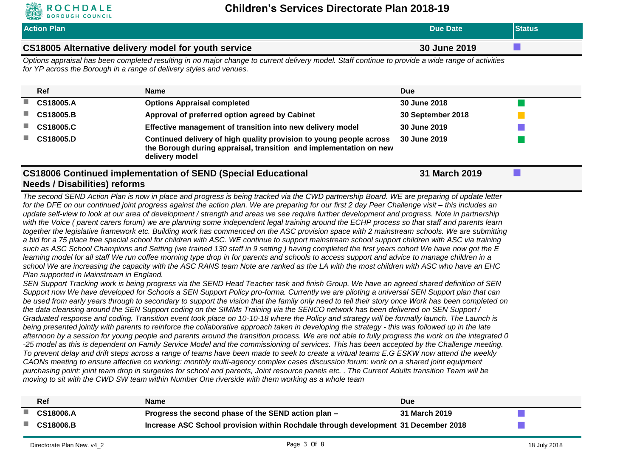

|                             | <b>ROCHDALE</b><br><b>BOROUGH COUNCIL</b>                                        | Children's Services Directorate Plan 2018-19                                                                                                                                                                                                                                                                                                                                                                                                                                                                                                                                                                                                                                                                                                                                                                                                                                                                                                                                                                                                                                                                                                                                                                                                                                                                                                                                                                                                                                                                                                                                                                                                                                                                                                                                                                                                                                                                                                                                                                                                                                                                                                                                                                                                                                                                                                                                                                                                                                                                                                                                                                                                                                                                                                                                                                                                                                                                                                                                                                                                                               |                   |                            |
|-----------------------------|----------------------------------------------------------------------------------|----------------------------------------------------------------------------------------------------------------------------------------------------------------------------------------------------------------------------------------------------------------------------------------------------------------------------------------------------------------------------------------------------------------------------------------------------------------------------------------------------------------------------------------------------------------------------------------------------------------------------------------------------------------------------------------------------------------------------------------------------------------------------------------------------------------------------------------------------------------------------------------------------------------------------------------------------------------------------------------------------------------------------------------------------------------------------------------------------------------------------------------------------------------------------------------------------------------------------------------------------------------------------------------------------------------------------------------------------------------------------------------------------------------------------------------------------------------------------------------------------------------------------------------------------------------------------------------------------------------------------------------------------------------------------------------------------------------------------------------------------------------------------------------------------------------------------------------------------------------------------------------------------------------------------------------------------------------------------------------------------------------------------------------------------------------------------------------------------------------------------------------------------------------------------------------------------------------------------------------------------------------------------------------------------------------------------------------------------------------------------------------------------------------------------------------------------------------------------------------------------------------------------------------------------------------------------------------------------------------------------------------------------------------------------------------------------------------------------------------------------------------------------------------------------------------------------------------------------------------------------------------------------------------------------------------------------------------------------------------------------------------------------------------------------------------------------|-------------------|----------------------------|
|                             | <b>Action Plan</b>                                                               |                                                                                                                                                                                                                                                                                                                                                                                                                                                                                                                                                                                                                                                                                                                                                                                                                                                                                                                                                                                                                                                                                                                                                                                                                                                                                                                                                                                                                                                                                                                                                                                                                                                                                                                                                                                                                                                                                                                                                                                                                                                                                                                                                                                                                                                                                                                                                                                                                                                                                                                                                                                                                                                                                                                                                                                                                                                                                                                                                                                                                                                                            | <b>Due Date</b>   | <b>Status</b>              |
|                             |                                                                                  | CS18005 Alternative delivery model for youth service                                                                                                                                                                                                                                                                                                                                                                                                                                                                                                                                                                                                                                                                                                                                                                                                                                                                                                                                                                                                                                                                                                                                                                                                                                                                                                                                                                                                                                                                                                                                                                                                                                                                                                                                                                                                                                                                                                                                                                                                                                                                                                                                                                                                                                                                                                                                                                                                                                                                                                                                                                                                                                                                                                                                                                                                                                                                                                                                                                                                                       | 30 June 2019      | $\mathcal{L}^{\text{max}}$ |
|                             |                                                                                  | Options appraisal has been completed resulting in no major change to current delivery model. Staff continue to provide a wide range of activities<br>for YP across the Borough in a range of delivery styles and venues.                                                                                                                                                                                                                                                                                                                                                                                                                                                                                                                                                                                                                                                                                                                                                                                                                                                                                                                                                                                                                                                                                                                                                                                                                                                                                                                                                                                                                                                                                                                                                                                                                                                                                                                                                                                                                                                                                                                                                                                                                                                                                                                                                                                                                                                                                                                                                                                                                                                                                                                                                                                                                                                                                                                                                                                                                                                   |                   |                            |
|                             | Ref                                                                              | <b>Name</b>                                                                                                                                                                                                                                                                                                                                                                                                                                                                                                                                                                                                                                                                                                                                                                                                                                                                                                                                                                                                                                                                                                                                                                                                                                                                                                                                                                                                                                                                                                                                                                                                                                                                                                                                                                                                                                                                                                                                                                                                                                                                                                                                                                                                                                                                                                                                                                                                                                                                                                                                                                                                                                                                                                                                                                                                                                                                                                                                                                                                                                                                | <b>Due</b>        |                            |
| $\mathcal{L}_{\mathcal{A}}$ | CS18005.A                                                                        | <b>Options Appraisal completed</b>                                                                                                                                                                                                                                                                                                                                                                                                                                                                                                                                                                                                                                                                                                                                                                                                                                                                                                                                                                                                                                                                                                                                                                                                                                                                                                                                                                                                                                                                                                                                                                                                                                                                                                                                                                                                                                                                                                                                                                                                                                                                                                                                                                                                                                                                                                                                                                                                                                                                                                                                                                                                                                                                                                                                                                                                                                                                                                                                                                                                                                         | 30 June 2018      |                            |
|                             | CS18005.B                                                                        | Approval of preferred option agreed by Cabinet                                                                                                                                                                                                                                                                                                                                                                                                                                                                                                                                                                                                                                                                                                                                                                                                                                                                                                                                                                                                                                                                                                                                                                                                                                                                                                                                                                                                                                                                                                                                                                                                                                                                                                                                                                                                                                                                                                                                                                                                                                                                                                                                                                                                                                                                                                                                                                                                                                                                                                                                                                                                                                                                                                                                                                                                                                                                                                                                                                                                                             | 30 September 2018 |                            |
|                             | CS18005.C                                                                        | Effective management of transition into new delivery model                                                                                                                                                                                                                                                                                                                                                                                                                                                                                                                                                                                                                                                                                                                                                                                                                                                                                                                                                                                                                                                                                                                                                                                                                                                                                                                                                                                                                                                                                                                                                                                                                                                                                                                                                                                                                                                                                                                                                                                                                                                                                                                                                                                                                                                                                                                                                                                                                                                                                                                                                                                                                                                                                                                                                                                                                                                                                                                                                                                                                 | 30 June 2019      |                            |
|                             | CS18005.D                                                                        | Continued delivery of high quality provision to young people across<br>the Borough during appraisal, transition and implementation on new<br>delivery model                                                                                                                                                                                                                                                                                                                                                                                                                                                                                                                                                                                                                                                                                                                                                                                                                                                                                                                                                                                                                                                                                                                                                                                                                                                                                                                                                                                                                                                                                                                                                                                                                                                                                                                                                                                                                                                                                                                                                                                                                                                                                                                                                                                                                                                                                                                                                                                                                                                                                                                                                                                                                                                                                                                                                                                                                                                                                                                | 30 June 2019      |                            |
|                             | <b>Needs / Disabilities) reforms</b><br>Plan supported in Mainstream in England. | The second SEND Action Plan is now in place and progress is being tracked via the CWD partnership Board. WE are preparing of update letter<br>for the DFE on our continued joint progress against the action plan. We are preparing for our first 2 day Peer Challenge visit - this includes an<br>update self-view to look at our area of development / strength and areas we see require further development and progress. Note in partnership<br>with the Voice (parent carers forum) we are planning some independent legal training around the ECHP process so that staff and parents learn<br>together the legislative framework etc. Building work has commenced on the ASC provision space with 2 mainstream schools. We are submitting<br>a bid for a 75 place free special school for children with ASC. WE continue to support mainstream school support children with ASC via training<br>such as ASC School Champions and Setting (we trained 130 staff in 9 setting) having completed the first years cohort We have now got the E<br>learning model for all staff We run coffee morning type drop in for parents and schools to access support and advice to manage children in a<br>school We are increasing the capacity with the ASC RANS team Note are ranked as the LA with the most children with ASC who have an EHC<br>SEN Support Tracking work is being progress via the SEND Head Teacher task and finish Group. We have an agreed shared definition of SEN<br>Support now We have developed for Schools a SEN Support Policy pro-forma. Currently we are piloting a universal SEN Support plan that can<br>be used from early years through to secondary to support the vision that the family only need to tell their story once Work has been completed on<br>the data cleansing around the SEN Support coding on the SIMMs Training via the SENCO network has been delivered on SEN Support /<br>Graduated response and coding. Transition event took place on 10-10-18 where the Policy and strategy will be formally launch. The Launch is<br>being presented jointly with parents to reinforce the collaborative approach taken in developing the strategy - this was followed up in the late<br>afternoon by a session for young people and parents around the transition process. We are not able to fully progress the work on the integrated 0<br>-25 model as this is dependent on Family Service Model and the commissioning of services. This has been accepted by the Challenge meeting.<br>To prevent delay and drift steps across a range of teams have been made to seek to create a virtual teams E.G ESKW now attend the weekly<br>CAONs meeting to ensure affective co working: monthly multi-agency complex cases discussion forum: work on a shared joint equipment<br>purchasing point: joint team drop in surgeries for school and parents, Joint resource panels etc. . The Current Adults transition Team will be<br>moving to sit with the CWD SW team within Number One riverside with them working as a whole team |                   |                            |
|                             |                                                                                  |                                                                                                                                                                                                                                                                                                                                                                                                                                                                                                                                                                                                                                                                                                                                                                                                                                                                                                                                                                                                                                                                                                                                                                                                                                                                                                                                                                                                                                                                                                                                                                                                                                                                                                                                                                                                                                                                                                                                                                                                                                                                                                                                                                                                                                                                                                                                                                                                                                                                                                                                                                                                                                                                                                                                                                                                                                                                                                                                                                                                                                                                            |                   |                            |
|                             |                                                                                  |                                                                                                                                                                                                                                                                                                                                                                                                                                                                                                                                                                                                                                                                                                                                                                                                                                                                                                                                                                                                                                                                                                                                                                                                                                                                                                                                                                                                                                                                                                                                                                                                                                                                                                                                                                                                                                                                                                                                                                                                                                                                                                                                                                                                                                                                                                                                                                                                                                                                                                                                                                                                                                                                                                                                                                                                                                                                                                                                                                                                                                                                            |                   |                            |

|            | Ref              | Name                                                                               | Due           |  |
|------------|------------------|------------------------------------------------------------------------------------|---------------|--|
| <b>COL</b> | CS18006.A        | Progress the second phase of the SEND action plan -                                | 31 March 2019 |  |
| a.         | <b>CS18006.B</b> | Increase ASC School provision within Rochdale through development 31 December 2018 |               |  |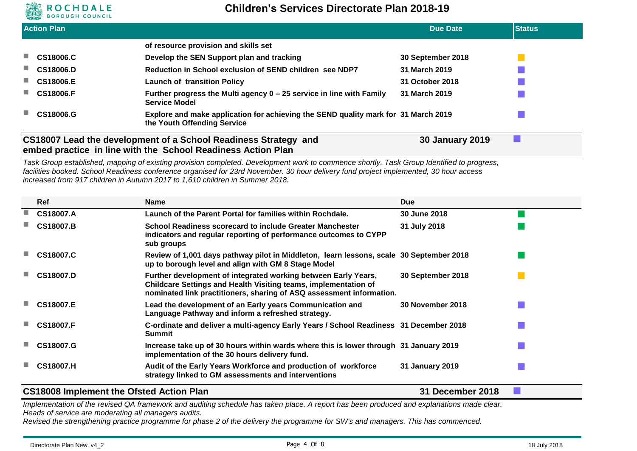

|                             | <b>Action Plan</b> |                                                                                                                   | <b>Due Date</b>   | <b>Status</b> |
|-----------------------------|--------------------|-------------------------------------------------------------------------------------------------------------------|-------------------|---------------|
|                             |                    | of resource provision and skills set                                                                              |                   |               |
| ш                           | <b>CS18006.C</b>   | Develop the SEN Support plan and tracking                                                                         | 30 September 2018 |               |
| ш                           | <b>CS18006.D</b>   | Reduction in School exclusion of SEND children see NDP7                                                           | 31 March 2019     |               |
|                             | ■ CS18006.E        | <b>Launch of transition Policy</b>                                                                                | 31 October 2018   |               |
|                             | ■ CS18006.F        | Further progress the Multi agency 0 - 25 service in line with Family<br><b>Service Model</b>                      | 31 March 2019     |               |
| $\mathcal{L}_{\mathcal{A}}$ | CS18006.G          | Explore and make application for achieving the SEND quality mark for 31 March 2019<br>the Youth Offending Service |                   |               |

### **CS18007 Lead the development of a School Readiness Strategy and embed practice in line with the School Readiness Action Plan**

*Task Group established, mapping of existing provision completed. Development work to commence shortly. Task Group Identified to progress, facilities booked. School Readiness conference organised for 23rd November. 30 hour delivery fund project implemented, 30 hour access increased from 917 children in Autumn 2017 to 1,610 children in Summer 2018.*

| <b>Ref</b>       | Name                                                                                                                                                                                                      | <b>Due</b>              |  |
|------------------|-----------------------------------------------------------------------------------------------------------------------------------------------------------------------------------------------------------|-------------------------|--|
| CS18007.A        | Launch of the Parent Portal for families within Rochdale.                                                                                                                                                 | 30 June 2018            |  |
| <b>CS18007.B</b> | School Readiness scorecard to include Greater Manchester<br>indicators and regular reporting of performance outcomes to CYPP<br>sub groups                                                                | 31 July 2018            |  |
| CS18007.C        | Review of 1,001 days pathway pilot in Middleton, learn lessons, scale 30 September 2018<br>up to borough level and align with GM 8 Stage Model                                                            |                         |  |
| <b>CS18007.D</b> | Further development of integrated working between Early Years,<br>Childcare Settings and Health Visiting teams, implementation of<br>nominated link practitioners, sharing of ASQ assessment information. | 30 September 2018       |  |
| <b>CS18007.E</b> | Lead the development of an Early years Communication and<br>Language Pathway and inform a refreshed strategy.                                                                                             | <b>30 November 2018</b> |  |
| <b>CS18007.F</b> | C-ordinate and deliver a multi-agency Early Years / School Readiness 31 December 2018<br><b>Summit</b>                                                                                                    |                         |  |
| CS18007.G        | Increase take up of 30 hours within wards where this is lower through 31 January 2019<br>implementation of the 30 hours delivery fund.                                                                    |                         |  |
| <b>CS18007.H</b> | Audit of the Early Years Workforce and production of workforce<br>strategy linked to GM assessments and interventions                                                                                     | 31 January 2019         |  |

#### **CS18008 Implement the Ofsted Action Plan 31 December 2018**

**30 January 2019**

Implementation of the revised QA framework and auditing schedule has taken place. A report has been produced and explanations made clear. *Heads of service are moderating all managers audits.*

*Revised the strengthening practice programme for phase 2 of the delivery the programme for SW's and managers. This has commenced.*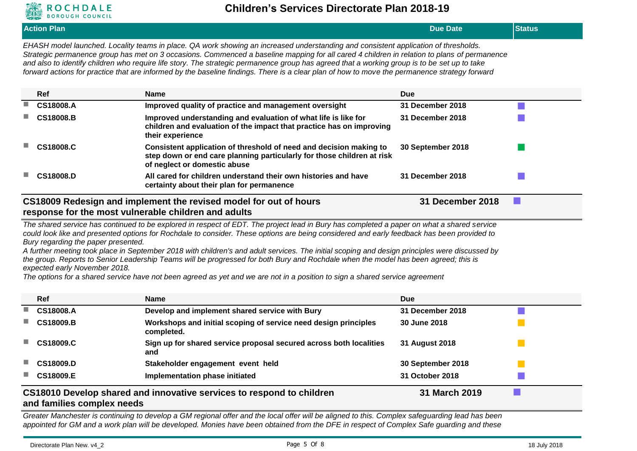

**Action Plan Due Date Status** *EHASH model launched. Locality teams in place. QA work showing an increased understanding and consistent application of thresholds. Strategic permanence group has met on 3 occasions. Commenced a baseline mapping for all cared 4 children in relation to plans of permanence and also to identify children who require life story. The strategic permanence group has agreed that a working group is to be set up to take forward actions for practice that are informed by the baseline findings. There is a clear plan of how to move the permanence strategy forward* **Ref Name Due CS18008.A Improved quality of practice and management oversight 31 December 2018 CS18008.B Improved understanding and evaluation of what life is like for children and evaluation of the impact that practice has on improving their experience 31 December 2018 CS18008.C Consistent application of threshold of need and decision making to step down or end care planning particularly for those children at risk of neglect or domestic abuse 30 September 2018 CS18008.D All cared for children understand their own histories and have certainty about their plan for permanence 31 December 2018 CS18009 Redesign and implement the revised model for out of hours response for the most vulnerable children and adults 31 December 2018**

#### *The shared service has continued to be explored in respect of EDT. The project lead in Bury has completed a paper on what a shared service could look like and presented options for Rochdale to consider. These options are being considered and early feedback has been provided to Bury regarding the paper presented.*

*A further meeting took place in September 2018 with children's and adult services. The initial scoping and design principles were discussed by the group. Reports to Senior Leadership Teams will be progressed for both Bury and Rochdale when the model has been agreed; this is expected early November 2018.*

*The options for a shared service have not been agreed as yet and we are not in a position to sign a shared service agreement*

|    | <b>Ref</b>                                    | <b>Name</b>                                                                   | <b>Due</b>        |  |
|----|-----------------------------------------------|-------------------------------------------------------------------------------|-------------------|--|
| ٠  | CS18008.A                                     | Develop and implement shared service with Bury                                | 31 December 2018  |  |
|    | <b>CS18009.B</b>                              | Workshops and initial scoping of service need design principles<br>completed. | 30 June 2018      |  |
|    | <b>CS18009.C</b>                              | Sign up for shared service proposal secured across both localities<br>and     | 31 August 2018    |  |
| ٠  | <b>CS18009.D</b>                              | Stakeholder engagement event held                                             | 30 September 2018 |  |
| a. | <b>CS18009.E</b>                              | Implementation phase initiated                                                | 31 October 2018   |  |
|    | الماجم والمحامد والمحمومات والمحافظ والمحافرة | CS18010 Develop shared and innovative services to respond to children         | 31 March 2019     |  |

#### **and families complex needs**

*Greater Manchester is continuing to develop a GM regional offer and the local offer will be aligned to this. Complex safeguarding lead has been appointed for GM and a work plan will be developed. Monies have been obtained from the DFE in respect of Complex Safe guarding and these*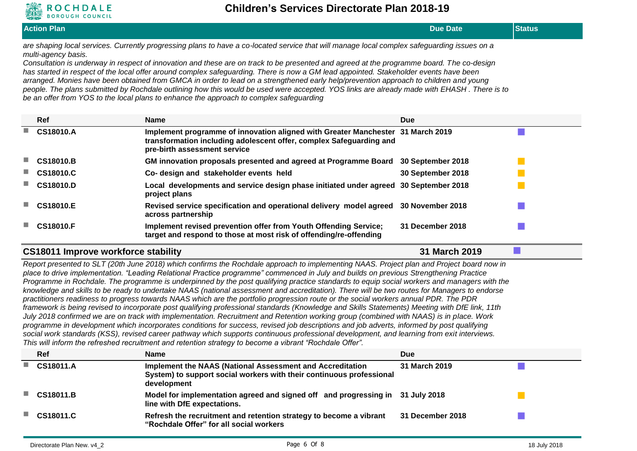

| <b>AND BOROUGH COUNCIL</b><br><b>Action Plan</b><br><b>Status</b><br><b>Due Date</b><br>are shaping local services. Currently progressing plans to have a co-located service that will manage local complex safeguarding issues on a<br>multi-agency basis.<br>Consultation is underway in respect of innovation and these are on track to be presented and agreed at the programme board. The co-design<br>has started in respect of the local offer around complex safeguarding. There is now a GM lead appointed. Stakeholder events have been<br>arranged. Monies have been obtained from GMCA in order to lead on a strengthened early help/prevention approach to children and young<br>people. The plans submitted by Rochdale outlining how this would be used were accepted. YOS links are already made with EHASH. There is to<br>be an offer from YOS to the local plans to enhance the approach to complex safeguarding<br>Ref<br><b>Due</b><br><b>Name</b><br>CS18010.A<br>Implement programme of innovation aligned with Greater Manchester 31 March 2019<br>transformation including adolescent offer, complex Safeguarding and<br>pre-birth assessment service<br><b>CS18010.B</b><br>GM innovation proposals presented and agreed at Programme Board<br>30 September 2018<br><b>CS18010.C</b><br>Co- design and stakeholder events held<br>30 September 2018<br><b>CS18010.D</b><br>Local developments and service design phase initiated under agreed<br>30 September 2018<br>project plans<br><b>30 November 2018</b><br><b>CS18010.E</b><br>Revised service specification and operational delivery model agreed<br>across partnership<br>Implement revised prevention offer from Youth Offending Service;<br><b>31 December 2018</b><br><b>CS18010.F</b><br>target and respond to those at most risk of offending/re-offending<br>31 March 2019<br>CS18011 Improve workforce stability<br>Report presented to SLT (20th June 2018) which confirms the Rochdale approach to implementing NAAS. Project plan and Project board now in<br>place to drive implementation. "Leading Relational Practice programme" commenced in July and builds on previous Strengthening Practice |                                                                                                                                             |  |
|---------------------------------------------------------------------------------------------------------------------------------------------------------------------------------------------------------------------------------------------------------------------------------------------------------------------------------------------------------------------------------------------------------------------------------------------------------------------------------------------------------------------------------------------------------------------------------------------------------------------------------------------------------------------------------------------------------------------------------------------------------------------------------------------------------------------------------------------------------------------------------------------------------------------------------------------------------------------------------------------------------------------------------------------------------------------------------------------------------------------------------------------------------------------------------------------------------------------------------------------------------------------------------------------------------------------------------------------------------------------------------------------------------------------------------------------------------------------------------------------------------------------------------------------------------------------------------------------------------------------------------------------------------------------------------------------------------------------------------------------------------------------------------------------------------------------------------------------------------------------------------------------------------------------------------------------------------------------------------------------------------------------------------------------------------------------------------------------------------------------------------------------------------------------------------------------------|---------------------------------------------------------------------------------------------------------------------------------------------|--|
|                                                                                                                                                                                                                                                                                                                                                                                                                                                                                                                                                                                                                                                                                                                                                                                                                                                                                                                                                                                                                                                                                                                                                                                                                                                                                                                                                                                                                                                                                                                                                                                                                                                                                                                                                                                                                                                                                                                                                                                                                                                                                                                                                                                                   |                                                                                                                                             |  |
|                                                                                                                                                                                                                                                                                                                                                                                                                                                                                                                                                                                                                                                                                                                                                                                                                                                                                                                                                                                                                                                                                                                                                                                                                                                                                                                                                                                                                                                                                                                                                                                                                                                                                                                                                                                                                                                                                                                                                                                                                                                                                                                                                                                                   |                                                                                                                                             |  |
|                                                                                                                                                                                                                                                                                                                                                                                                                                                                                                                                                                                                                                                                                                                                                                                                                                                                                                                                                                                                                                                                                                                                                                                                                                                                                                                                                                                                                                                                                                                                                                                                                                                                                                                                                                                                                                                                                                                                                                                                                                                                                                                                                                                                   |                                                                                                                                             |  |
|                                                                                                                                                                                                                                                                                                                                                                                                                                                                                                                                                                                                                                                                                                                                                                                                                                                                                                                                                                                                                                                                                                                                                                                                                                                                                                                                                                                                                                                                                                                                                                                                                                                                                                                                                                                                                                                                                                                                                                                                                                                                                                                                                                                                   |                                                                                                                                             |  |
|                                                                                                                                                                                                                                                                                                                                                                                                                                                                                                                                                                                                                                                                                                                                                                                                                                                                                                                                                                                                                                                                                                                                                                                                                                                                                                                                                                                                                                                                                                                                                                                                                                                                                                                                                                                                                                                                                                                                                                                                                                                                                                                                                                                                   |                                                                                                                                             |  |
|                                                                                                                                                                                                                                                                                                                                                                                                                                                                                                                                                                                                                                                                                                                                                                                                                                                                                                                                                                                                                                                                                                                                                                                                                                                                                                                                                                                                                                                                                                                                                                                                                                                                                                                                                                                                                                                                                                                                                                                                                                                                                                                                                                                                   |                                                                                                                                             |  |
|                                                                                                                                                                                                                                                                                                                                                                                                                                                                                                                                                                                                                                                                                                                                                                                                                                                                                                                                                                                                                                                                                                                                                                                                                                                                                                                                                                                                                                                                                                                                                                                                                                                                                                                                                                                                                                                                                                                                                                                                                                                                                                                                                                                                   |                                                                                                                                             |  |
|                                                                                                                                                                                                                                                                                                                                                                                                                                                                                                                                                                                                                                                                                                                                                                                                                                                                                                                                                                                                                                                                                                                                                                                                                                                                                                                                                                                                                                                                                                                                                                                                                                                                                                                                                                                                                                                                                                                                                                                                                                                                                                                                                                                                   |                                                                                                                                             |  |
|                                                                                                                                                                                                                                                                                                                                                                                                                                                                                                                                                                                                                                                                                                                                                                                                                                                                                                                                                                                                                                                                                                                                                                                                                                                                                                                                                                                                                                                                                                                                                                                                                                                                                                                                                                                                                                                                                                                                                                                                                                                                                                                                                                                                   |                                                                                                                                             |  |
|                                                                                                                                                                                                                                                                                                                                                                                                                                                                                                                                                                                                                                                                                                                                                                                                                                                                                                                                                                                                                                                                                                                                                                                                                                                                                                                                                                                                                                                                                                                                                                                                                                                                                                                                                                                                                                                                                                                                                                                                                                                                                                                                                                                                   | Programme in Rochdale. The programme is underpinned by the post qualifying practice standards to equip social workers and managers with the |  |

*knowledge and skills to be ready to undertake NAAS (national assessment and accreditation). There will be two routes for Managers to endorse practitioners readiness to progress towards NAAS which are the portfolio progression route or the social workers annual PDR. The PDR framework is being revised to incorporate post qualifying professional standards (Knowledge and Skills Statements) Meeting with DfE link, 11th July 2018 confirmed we are on track with implementation. Recruitment and Retention working group (combined with NAAS) is in place. Work programme in development which incorporates conditions for success, revised job descriptions and job adverts, informed by post qualifying social work standards (KSS), revised career pathway which supports continuous professional development, and learning from exit interviews. This will inform the refreshed recruitment and retention strategy to become a vibrant "Rochdale Offer".*

| Ref       | <b>Name</b>                                                                                                                                      | <b>Due</b>       |
|-----------|--------------------------------------------------------------------------------------------------------------------------------------------------|------------------|
| CS18011.A | Implement the NAAS (National Assessment and Accreditation<br>System) to support social workers with their continuous professional<br>development | 31 March 2019    |
| CS18011.B | Model for implementation agreed and signed off and progressing in 31 July 2018<br>line with DfE expectations.                                    |                  |
| CS18011.C | Refresh the recruitment and retention strategy to become a vibrant<br>"Rochdale Offer" for all social workers                                    | 31 December 2018 |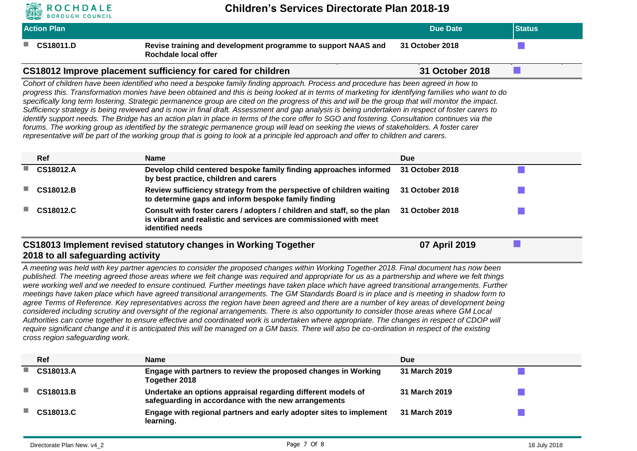

| <b>Action Plan</b>                |                                                                                                                                                                                                                                                                                                                                                                                                                                                                                                                                                                                                                                                                                                                                                                                                                                                                                                                                                                                                                                                                                                                                                                                    | <b>Due Date</b> | <b>Status</b> |
|-----------------------------------|------------------------------------------------------------------------------------------------------------------------------------------------------------------------------------------------------------------------------------------------------------------------------------------------------------------------------------------------------------------------------------------------------------------------------------------------------------------------------------------------------------------------------------------------------------------------------------------------------------------------------------------------------------------------------------------------------------------------------------------------------------------------------------------------------------------------------------------------------------------------------------------------------------------------------------------------------------------------------------------------------------------------------------------------------------------------------------------------------------------------------------------------------------------------------------|-----------------|---------------|
| CS18011.D                         | Revise training and development programme to support NAAS and<br>Rochdale local offer                                                                                                                                                                                                                                                                                                                                                                                                                                                                                                                                                                                                                                                                                                                                                                                                                                                                                                                                                                                                                                                                                              | 31 October 2018 |               |
|                                   | CS18012 Improve placement sufficiency for cared for children                                                                                                                                                                                                                                                                                                                                                                                                                                                                                                                                                                                                                                                                                                                                                                                                                                                                                                                                                                                                                                                                                                                       | 31 October 2018 | a a           |
|                                   | Cohort of children have been identified who need a bespoke family finding approach. Process and procedure has been agreed in how to<br>progress this. Transformation monies have been obtained and this is being looked at in terms of marketing for identifying families who want to do<br>specifically long term fostering. Strategic permanence group are cited on the progress of this and will be the group that will monitor the impact.<br>Sufficiency strategy is being reviewed and is now in final draft. Assessment and gap analysis is being undertaken in respect of foster carers to<br>identify support needs. The Bridge has an action plan in place in terms of the core offer to SGO and fostering. Consultation continues via the<br>forums. The working group as identified by the strategic permanence group will lead on seeking the views of stakeholders. A foster carer<br>representative will be part of the working group that is going to look at a principle led approach and offer to children and carers.                                                                                                                                           |                 |               |
| Ref                               | <b>Name</b>                                                                                                                                                                                                                                                                                                                                                                                                                                                                                                                                                                                                                                                                                                                                                                                                                                                                                                                                                                                                                                                                                                                                                                        | <b>Due</b>      |               |
| CS18012.A                         | Develop child centered bespoke family finding approaches informed<br>by best practice, children and carers                                                                                                                                                                                                                                                                                                                                                                                                                                                                                                                                                                                                                                                                                                                                                                                                                                                                                                                                                                                                                                                                         | 31 October 2018 |               |
| CS18012.B                         | Review sufficiency strategy from the perspective of children waiting<br>to determine gaps and inform bespoke family finding                                                                                                                                                                                                                                                                                                                                                                                                                                                                                                                                                                                                                                                                                                                                                                                                                                                                                                                                                                                                                                                        | 31 October 2018 |               |
| CS18012.C                         | Consult with foster carers / adopters / children and staff, so the plan<br>is vibrant and realistic and services are commissioned with meet<br>identified needs                                                                                                                                                                                                                                                                                                                                                                                                                                                                                                                                                                                                                                                                                                                                                                                                                                                                                                                                                                                                                    | 31 October 2018 |               |
| 2018 to all safeguarding activity | CS18013 Implement revised statutory changes in Working Together                                                                                                                                                                                                                                                                                                                                                                                                                                                                                                                                                                                                                                                                                                                                                                                                                                                                                                                                                                                                                                                                                                                    | 07 April 2019   | <b>COL</b>    |
|                                   | A meeting was held with key partner agencies to consider the proposed changes within Working Together 2018. Final document has now been<br>published. The meeting agreed those areas where we felt change was required and appropriate for us as a partnership and where we felt things<br>were working well and we needed to ensure continued. Further meetings have taken place which have agreed transitional arrangements. Further<br>meetings have taken place which have agreed transitional arrangements. The GM Standards Board is in place and is meeting in shadow form to<br>agree Terms of Reference. Key representatives across the region have been agreed and there are a number of key areas of development being<br>considered including scrutiny and oversight of the regional arrangements. There is also opportunity to consider those areas where GM Local<br>Authorities can come together to ensure effective and coordinated work is undertaken where appropriate. The changes in respect of CDOP will<br>require significant change and it is anticipated this will be managed on a GM basis. There will also be co-ordination in respect of the existing |                 |               |

*cross region safeguarding work.*

| <b>Ref</b>       | <b>Name</b>                                                                                                          | <b>Due</b>    |  |
|------------------|----------------------------------------------------------------------------------------------------------------------|---------------|--|
| <b>CS18013.A</b> | Engage with partners to review the proposed changes in Working<br>Together 2018                                      | 31 March 2019 |  |
| <b>CS18013.B</b> | Undertake an options appraisal regarding different models of<br>safeguarding in accordance with the new arrangements | 31 March 2019 |  |
| <b>CS18013.C</b> | Engage with regional partners and early adopter sites to implement<br>learning.                                      | 31 March 2019 |  |